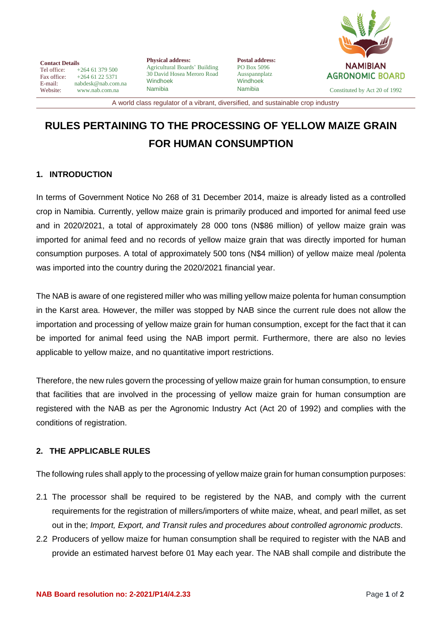

**Contact Details**<br>Tel office: Tel office: +264 61 379 500<br>Fax office: +264 61 22 5371 Fax office:  $+264 61 22 5371$ <br>E-mail: nabdesk@nab.com E-mail: nabdesk@nab.com.na<br>Website: www.nab.com.na [www.nab.com.na](http://www.nab.com.na/)

**Physical address:** Agricultural Boards' Building 30 David Hosea Meroro Road Windhoek Namibia

**Postal address:** PO Box 5096 Ausspannplatz Windhoek

Namibia Constituted by Act 20 of 1992

A world class regulator of a vibrant, diversified, and sustainable crop industry

## **RULES PERTAINING TO THE PROCESSING OF YELLOW MAIZE GRAIN FOR HUMAN CONSUMPTION**

## **1. INTRODUCTION**

In terms of Government Notice No 268 of 31 December 2014, maize is already listed as a controlled crop in Namibia. Currently, yellow maize grain is primarily produced and imported for animal feed use and in 2020/2021, a total of approximately 28 000 tons (N\$86 million) of yellow maize grain was imported for animal feed and no records of yellow maize grain that was directly imported for human consumption purposes. A total of approximately 500 tons (N\$4 million) of yellow maize meal /polenta was imported into the country during the 2020/2021 financial year.

The NAB is aware of one registered miller who was milling yellow maize polenta for human consumption in the Karst area. However, the miller was stopped by NAB since the current rule does not allow the importation and processing of yellow maize grain for human consumption, except for the fact that it can be imported for animal feed using the NAB import permit. Furthermore, there are also no levies applicable to yellow maize, and no quantitative import restrictions.

Therefore, the new rules govern the processing of yellow maize grain for human consumption, to ensure that facilities that are involved in the processing of yellow maize grain for human consumption are registered with the NAB as per the Agronomic Industry Act (Act 20 of 1992) and complies with the conditions of registration.

## **2. THE APPLICABLE RULES**

The following rules shall apply to the processing of yellow maize grain for human consumption purposes:

- 2.1 The processor shall be required to be registered by the NAB, and comply with the current requirements for the registration of millers/importers of white maize, wheat, and pearl millet, as set out in the; *Import, Export, and Transit rules and procedures about controlled agronomic products*.
- 2.2 Producers of yellow maize for human consumption shall be required to register with the NAB and provide an estimated harvest before 01 May each year. The NAB shall compile and distribute the